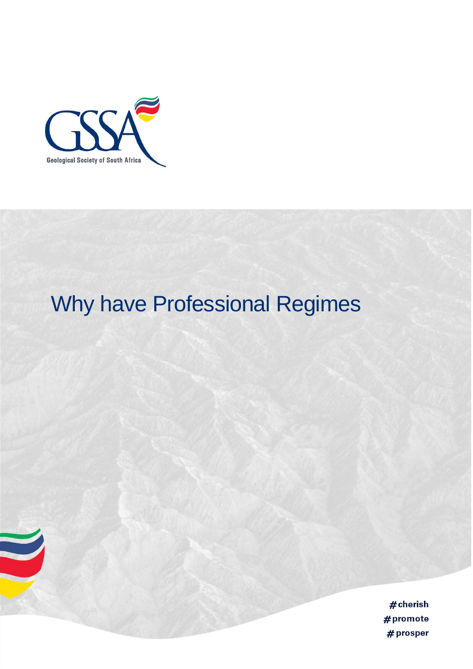

# Why have Professional Regimes

 $#$ cherish #promote # prosper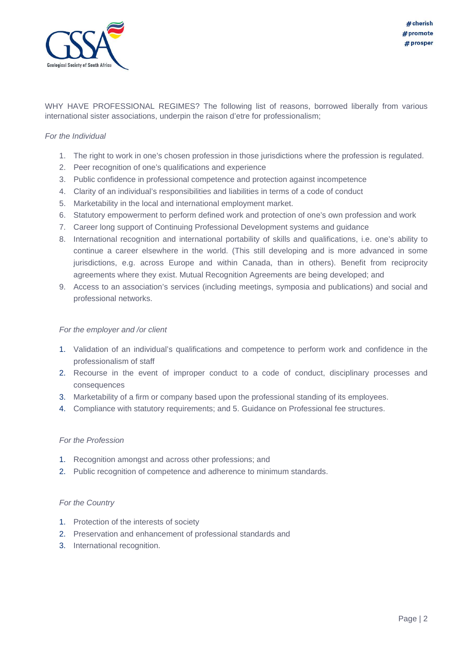

WHY HAVE PROFESSIONAL REGIMES? The following list of reasons, borrowed liberally from various international sister associations, underpin the raison d'etre for professionalism;

## *For the Individual*

- 1. The right to work in one's chosen profession in those jurisdictions where the profession is regulated.
- 2. Peer recognition of one's qualifications and experience
- 3. Public confidence in professional competence and protection against incompetence
- 4. Clarity of an individual's responsibilities and liabilities in terms of a code of conduct
- 5. Marketability in the local and international employment market.
- 6. Statutory empowerment to perform defined work and protection of one's own profession and work
- 7. Career long support of Continuing Professional Development systems and guidance
- 8. International recognition and international portability of skills and qualifications, i.e. one's ability to continue a career elsewhere in the world. (This still developing and is more advanced in some jurisdictions, e.g. across Europe and within Canada, than in others). Benefit from reciprocity agreements where they exist. Mutual Recognition Agreements are being developed; and
- 9. Access to an association's services (including meetings, symposia and publications) and social and professional networks.

#### *For the employer and /or client*

- 1. Validation of an individual's qualifications and competence to perform work and confidence in the professionalism of staff
- 2. Recourse in the event of improper conduct to a code of conduct, disciplinary processes and consequences
- 3. Marketability of a firm or company based upon the professional standing of its employees.
- 4. Compliance with statutory requirements; and 5. Guidance on Professional fee structures.

## *For the Profession*

- 1. Recognition amongst and across other professions; and
- 2. Public recognition of competence and adherence to minimum standards.

#### *For the Country*

- 1. Protection of the interests of society
- 2. Preservation and enhancement of professional standards and
- 3. International recognition.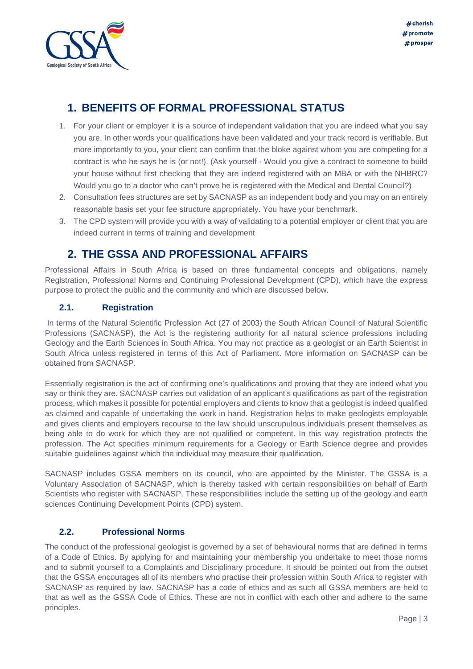

# **1. BENEFITS OF FORMAL PROFESSIONAL STATUS**

- 1. For your client or employer it is a source of independent validation that you are indeed what you say you are. In other words your qualifications have been validated and your track record is verifiable. But more importantly to you, your client can confirm that the bloke against whom you are competing for a contract is who he says he is (or not!). (Ask yourself - Would you give a contract to someone to build your house without first checking that they are indeed registered with an MBA or with the NHBRC? Would you go to a doctor who can't prove he is registered with the Medical and Dental Council?)
- 2. Consultation fees structures are set by SACNASP as an independent body and you may on an entirely reasonable basis set your fee structure appropriately. You have your benchmark.
- 3. The CPD system will provide you with a way of validating to a potential employer or client that you are indeed current in terms of training and development

# **2. THE GSSA AND PROFESSIONAL AFFAIRS**

Professional Affairs in South Africa is based on three fundamental concepts and obligations, namely Registration, Professional Norms and Continuing Professional Development (CPD), which have the express purpose to protect the public and the community and which are discussed below.

## **2.1. Registration**

In terms of the Natural Scientific Profession Act (27 of 2003) the South African Council of Natural Scientific Professions (SACNASP), the Act is the registering authority for all natural science professions including Geology and the Earth Sciences in South Africa. You may not practice as a geologist or an Earth Scientist in South Africa unless registered in terms of this Act of Parliament. More information on SACNASP can be obtained from SACNASP.

Essentially registration is the act of confirming one's qualifications and proving that they are indeed what you say or think they are. SACNASP carries out validation of an applicant's qualifications as part of the registration process, which makes it possible for potential employers and clients to know that a geologist is indeed qualified as claimed and capable of undertaking the work in hand. Registration helps to make geologists employable and gives clients and employers recourse to the law should unscrupulous individuals present themselves as being able to do work for which they are not qualified or competent. In this way registration protects the profession. The Act specifies minimum requirements for a Geology or Earth Science degree and provides suitable guidelines against which the individual may measure their qualification.

SACNASP includes GSSA members on its council, who are appointed by the Minister. The GSSA is a Voluntary Association of SACNASP, which is thereby tasked with certain responsibilities on behalf of Earth Scientists who register with SACNASP. These responsibilities include the setting up of the geology and earth sciences Continuing Development Points (CPD) system.

## **2.2. Professional Norms**

The conduct of the professional geologist is governed by a set of behavioural norms that are defined in terms of a Code of Ethics. By applying for and maintaining your membership you undertake to meet those norms and to submit yourself to a Complaints and Disciplinary procedure. It should be pointed out from the outset that the GSSA encourages all of its members who practise their profession within South Africa to register with SACNASP as required by law. SACNASP has a code of ethics and as such all GSSA members are held to that as well as the GSSA Code of Ethics. These are not in conflict with each other and adhere to the same principles.